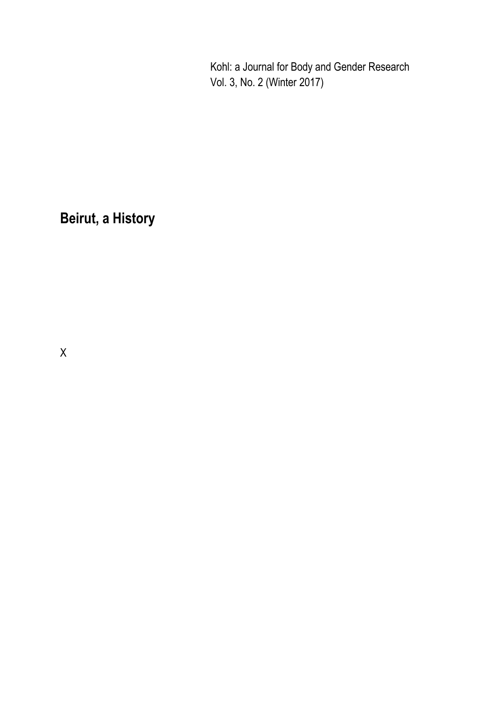Kohl: a Journal for Body and Gender Research Vol. 3, No. 2 (Winter 2017)

## **Beirut, a History**

X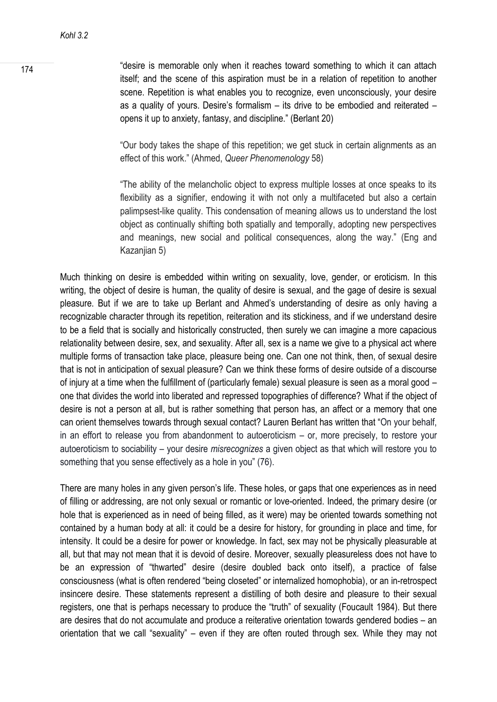174 **174 174 174 18** Tesire is memorable only when it reaches toward something to which it can attach itself; and the scene of this aspiration must be in a relation of repetition to another scene. Repetition is what enables you to recognize, even unconsciously, your desire as a quality of yours. Desire's formalism – its drive to be embodied and reiterated – opens it up to anxiety, fantasy, and discipline." (Berlant 20)

> "Our body takes the shape of this repetition; we get stuck in certain alignments as an effect of this work." (Ahmed, *Queer Phenomenology* 58)

> "The ability of the melancholic object to express multiple losses at once speaks to its flexibility as a signifier, endowing it with not only a multifaceted but also a certain palimpsest-like quality. This condensation of meaning allows us to understand the lost object as continually shifting both spatially and temporally, adopting new perspectives and meanings, new social and political consequences, along the way." (Eng and Kazanjian 5)

Much thinking on desire is embedded within writing on sexuality, love, gender, or eroticism. In this writing, the object of desire is human, the quality of desire is sexual, and the gage of desire is sexual pleasure. But if we are to take up Berlant and Ahmed's understanding of desire as only having a recognizable character through its repetition, reiteration and its stickiness, and if we understand desire to be a field that is socially and historically constructed, then surely we can imagine a more capacious relationality between desire, sex, and sexuality. After all, sex is a name we give to a physical act where multiple forms of transaction take place, pleasure being one. Can one not think, then, of sexual desire that is not in anticipation of sexual pleasure? Can we think these forms of desire outside of a discourse of injury at a time when the fulfillment of (particularly female) sexual pleasure is seen as a moral good – one that divides the world into liberated and repressed topographies of difference? What if the object of desire is not a person at all, but is rather something that person has, an affect or a memory that one can orient themselves towards through sexual contact? Lauren Berlant has written that "On your behalf, in an effort to release you from abandonment to autoeroticism – or, more precisely, to restore your autoeroticism to sociability – your desire *misrecognizes* a given object as that which will restore you to something that you sense effectively as a hole in you" (76).

There are many holes in any given person's life. These holes, or gaps that one experiences as in need of filling or addressing, are not only sexual or romantic or love-oriented. Indeed, the primary desire (or hole that is experienced as in need of being filled, as it were) may be oriented towards something not contained by a human body at all: it could be a desire for history, for grounding in place and time, for intensity. It could be a desire for power or knowledge. In fact, sex may not be physically pleasurable at all, but that may not mean that it is devoid of desire. Moreover, sexually pleasureless does not have to be an expression of "thwarted" desire (desire doubled back onto itself), a practice of false consciousness (what is often rendered "being closeted" or internalized homophobia), or an in-retrospect insincere desire. These statements represent a distilling of both desire and pleasure to their sexual registers, one that is perhaps necessary to produce the "truth" of sexuality (Foucault 1984). But there are desires that do not accumulate and produce a reiterative orientation towards gendered bodies – an orientation that we call "sexuality" – even if they are often routed through sex. While they may not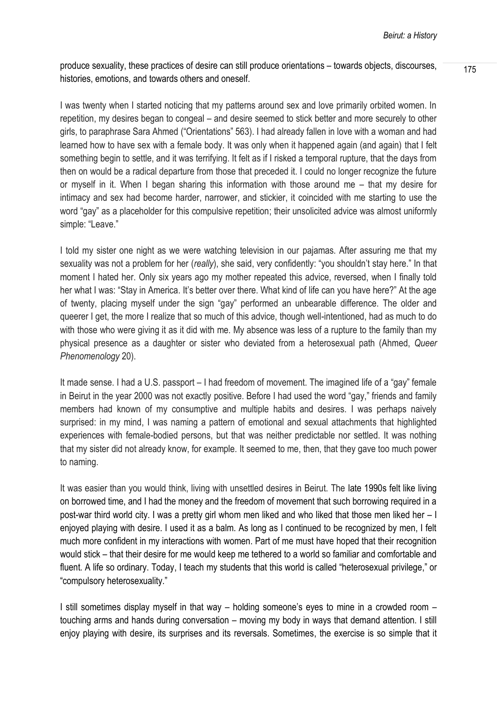produce sexuality, these practices of desire can still produce orientations – towards objects, discourses,  $\frac{175}{175}$ histories, emotions, and towards others and oneself.

I was twenty when I started noticing that my patterns around sex and love primarily orbited women. In repetition, my desires began to congeal – and desire seemed to stick better and more securely to other girls, to paraphrase Sara Ahmed ("Orientations" 563). I had already fallen in love with a woman and had learned how to have sex with a female body. It was only when it happened again (and again) that I felt something begin to settle, and it was terrifying. It felt as if I risked a temporal rupture, that the days from then on would be a radical departure from those that preceded it. I could no longer recognize the future or myself in it. When I began sharing this information with those around me – that my desire for intimacy and sex had become harder, narrower, and stickier, it coincided with me starting to use the word "gay" as a placeholder for this compulsive repetition; their unsolicited advice was almost uniformly simple: "Leave."

I told my sister one night as we were watching television in our pajamas. After assuring me that my sexuality was not a problem for her (*really*), she said, very confidently: "you shouldn't stay here." In that moment I hated her. Only six years ago my mother repeated this advice, reversed, when I finally told her what I was: "Stay in America. It's better over there. What kind of life can you have here?" At the age of twenty, placing myself under the sign "gay" performed an unbearable difference. The older and queerer I get, the more I realize that so much of this advice, though well-intentioned, had as much to do with those who were giving it as it did with me. My absence was less of a rupture to the family than my physical presence as a daughter or sister who deviated from a heterosexual path (Ahmed, *Queer Phenomenology* 20).

It made sense. I had a U.S. passport – I had freedom of movement. The imagined life of a "gay" female in Beirut in the year 2000 was not exactly positive. Before I had used the word "gay," friends and family members had known of my consumptive and multiple habits and desires. I was perhaps naively surprised: in my mind, I was naming a pattern of emotional and sexual attachments that highlighted experiences with female-bodied persons, but that was neither predictable nor settled. It was nothing that my sister did not already know, for example. It seemed to me, then, that they gave too much power to naming.

It was easier than you would think, living with unsettled desires in Beirut. The late 1990s felt like living on borrowed time, and I had the money and the freedom of movement that such borrowing required in a post-war third world city. I was a pretty girl whom men liked and who liked that those men liked her – I enjoyed playing with desire. I used it as a balm. As long as I continued to be recognized by men, I felt much more confident in my interactions with women. Part of me must have hoped that their recognition would stick – that their desire for me would keep me tethered to a world so familiar and comfortable and fluent. A life so ordinary. Today, I teach my students that this world is called "heterosexual privilege," or "compulsory heterosexuality."

I still sometimes display myself in that way – holding someone's eyes to mine in a crowded room – touching arms and hands during conversation – moving my body in ways that demand attention. I still enjoy playing with desire, its surprises and its reversals. Sometimes, the exercise is so simple that it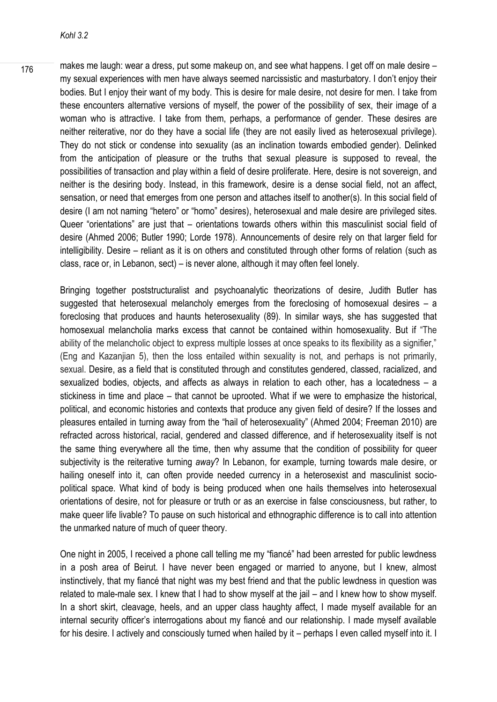$\frac{176}{176}$  makes me laugh: wear a dress, put some makeup on, and see what happens. I get off on male desire – my sexual experiences with men have always seemed narcissistic and masturbatory. I don't enjoy their bodies. But I enjoy their want of my body. This is desire for male desire, not desire for men. I take from these encounters alternative versions of myself, the power of the possibility of sex, their image of a woman who is attractive. I take from them, perhaps, a performance of gender. These desires are neither reiterative, nor do they have a social life (they are not easily lived as heterosexual privilege). They do not stick or condense into sexuality (as an inclination towards embodied gender). Delinked from the anticipation of pleasure or the truths that sexual pleasure is supposed to reveal, the possibilities of transaction and play within a field of desire proliferate. Here, desire is not sovereign, and neither is the desiring body. Instead, in this framework, desire is a dense social field, not an affect, sensation, or need that emerges from one person and attaches itself to another(s). In this social field of desire (I am not naming "hetero" or "homo" desires), heterosexual and male desire are privileged sites. Queer "orientations" are just that – orientations towards others within this masculinist social field of desire (Ahmed 2006; Butler 1990; Lorde 1978). Announcements of desire rely on that larger field for intelligibility. Desire – reliant as it is on others and constituted through other forms of relation (such as class, race or, in Lebanon, sect) – is never alone, although it may often feel lonely.

Bringing together poststructuralist and psychoanalytic theorizations of desire, Judith Butler has suggested that heterosexual melancholy emerges from the foreclosing of homosexual desires – a foreclosing that produces and haunts heterosexuality (89). In similar ways, she has suggested that homosexual melancholia marks excess that cannot be contained within homosexuality. But if "The ability of the melancholic object to express multiple losses at once speaks to its flexibility as a signifier," (Eng and Kazanjian 5), then the loss entailed within sexuality is not, and perhaps is not primarily, sexual. Desire, as a field that is constituted through and constitutes gendered, classed, racialized, and sexualized bodies, objects, and affects as always in relation to each other, has a locatedness – a stickiness in time and place – that cannot be uprooted. What if we were to emphasize the historical, political, and economic histories and contexts that produce any given field of desire? If the losses and pleasures entailed in turning away from the "hail of heterosexuality" (Ahmed 2004; Freeman 2010) are refracted across historical, racial, gendered and classed difference, and if heterosexuality itself is not the same thing everywhere all the time, then why assume that the condition of possibility for queer subjectivity is the reiterative turning *away*? In Lebanon, for example, turning towards male desire, or hailing oneself into it, can often provide needed currency in a heterosexist and masculinist sociopolitical space. What kind of body is being produced when one hails themselves into heterosexual orientations of desire, not for pleasure or truth or as an exercise in false consciousness, but rather, to make queer life livable? To pause on such historical and ethnographic difference is to call into attention the unmarked nature of much of queer theory.

One night in 2005, I received a phone call telling me my "fiancé" had been arrested for public lewdness in a posh area of Beirut. I have never been engaged or married to anyone, but I knew, almost instinctively, that my fiancé that night was my best friend and that the public lewdness in question was related to male-male sex. I knew that I had to show myself at the jail – and I knew how to show myself. In a short skirt, cleavage, heels, and an upper class haughty affect, I made myself available for an internal security officer's interrogations about my fiancé and our relationship. I made myself available for his desire. I actively and consciously turned when hailed by it – perhaps I even called myself into it. I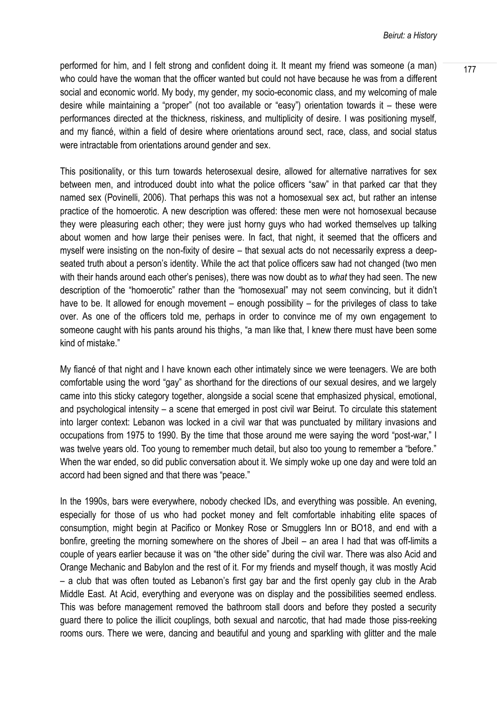performed for him, and I felt strong and confident doing it. It meant my friend was someone (a man)  $\frac{177}{177}$ who could have the woman that the officer wanted but could not have because he was from a different social and economic world. My body, my gender, my socio-economic class, and my welcoming of male desire while maintaining a "proper" (not too available or "easy") orientation towards it – these were performances directed at the thickness, riskiness, and multiplicity of desire. I was positioning myself, and my fiancé, within a field of desire where orientations around sect, race, class, and social status were intractable from orientations around gender and sex.

This positionality, or this turn towards heterosexual desire, allowed for alternative narratives for sex between men, and introduced doubt into what the police officers "saw" in that parked car that they named sex (Povinelli, 2006). That perhaps this was not a homosexual sex act, but rather an intense practice of the homoerotic. A new description was offered: these men were not homosexual because they were pleasuring each other; they were just horny guys who had worked themselves up talking about women and how large their penises were. In fact, that night, it seemed that the officers and myself were insisting on the non-fixity of desire – that sexual acts do not necessarily express a deepseated truth about a person's identity. While the act that police officers saw had not changed (two men with their hands around each other's penises), there was now doubt as to *what* they had seen. The new description of the "homoerotic" rather than the "homosexual" may not seem convincing, but it didn't have to be. It allowed for enough movement – enough possibility – for the privileges of class to take over. As one of the officers told me, perhaps in order to convince me of my own engagement to someone caught with his pants around his thighs, "a man like that, I knew there must have been some kind of mistake."

My fiancé of that night and I have known each other intimately since we were teenagers. We are both comfortable using the word "gay" as shorthand for the directions of our sexual desires, and we largely came into this sticky category together, alongside a social scene that emphasized physical, emotional, and psychological intensity – a scene that emerged in post civil war Beirut. To circulate this statement into larger context: Lebanon was locked in a civil war that was punctuated by military invasions and occupations from 1975 to 1990. By the time that those around me were saying the word "post-war," I was twelve years old. Too young to remember much detail, but also too young to remember a "before." When the war ended, so did public conversation about it. We simply woke up one day and were told an accord had been signed and that there was "peace."

In the 1990s, bars were everywhere, nobody checked IDs, and everything was possible. An evening, especially for those of us who had pocket money and felt comfortable inhabiting elite spaces of consumption, might begin at Pacifico or Monkey Rose or Smugglers Inn or BO18, and end with a bonfire, greeting the morning somewhere on the shores of Jbeil – an area I had that was off-limits a couple of years earlier because it was on "the other side" during the civil war. There was also Acid and Orange Mechanic and Babylon and the rest of it. For my friends and myself though, it was mostly Acid – a club that was often touted as Lebanon's first gay bar and the first openly gay club in the Arab Middle East. At Acid, everything and everyone was on display and the possibilities seemed endless. This was before management removed the bathroom stall doors and before they posted a security guard there to police the illicit couplings, both sexual and narcotic, that had made those piss-reeking rooms ours. There we were, dancing and beautiful and young and sparkling with glitter and the male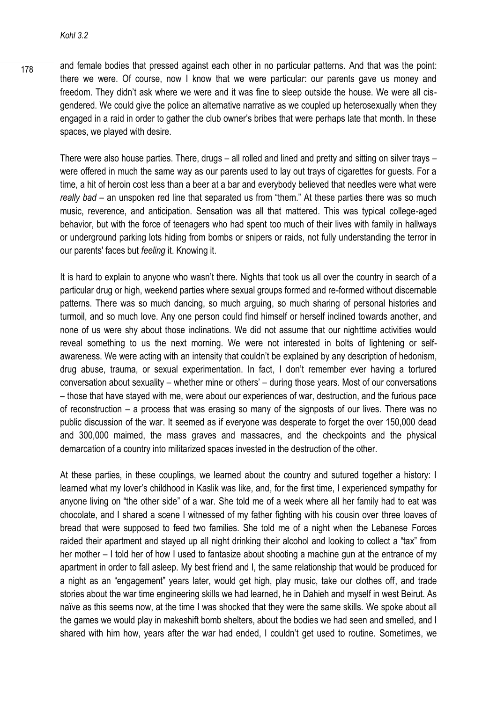$\frac{178}{178}$  and female bodies that pressed against each other in no particular patterns. And that was the point: there we were. Of course, now I know that we were particular: our parents gave us money and freedom. They didn't ask where we were and it was fine to sleep outside the house. We were all cisgendered. We could give the police an alternative narrative as we coupled up heterosexually when they engaged in a raid in order to gather the club owner's bribes that were perhaps late that month. In these spaces, we played with desire.

There were also house parties. There, drugs – all rolled and lined and pretty and sitting on silver trays – were offered in much the same way as our parents used to lay out trays of cigarettes for guests. For a time, a hit of heroin cost less than a beer at a bar and everybody believed that needles were what were *really bad* – an unspoken red line that separated us from "them." At these parties there was so much music, reverence, and anticipation. Sensation was all that mattered. This was typical college-aged behavior, but with the force of teenagers who had spent too much of their lives with family in hallways or underground parking lots hiding from bombs or snipers or raids, not fully understanding the terror in our parents' faces but *feeling* it. Knowing it.

It is hard to explain to anyone who wasn't there. Nights that took us all over the country in search of a particular drug or high, weekend parties where sexual groups formed and re-formed without discernable patterns. There was so much dancing, so much arguing, so much sharing of personal histories and turmoil, and so much love. Any one person could find himself or herself inclined towards another, and none of us were shy about those inclinations. We did not assume that our nighttime activities would reveal something to us the next morning. We were not interested in bolts of lightening or selfawareness. We were acting with an intensity that couldn't be explained by any description of hedonism, drug abuse, trauma, or sexual experimentation. In fact, I don't remember ever having a tortured conversation about sexuality – whether mine or others' – during those years. Most of our conversations – those that have stayed with me, were about our experiences of war, destruction, and the furious pace of reconstruction – a process that was erasing so many of the signposts of our lives. There was no public discussion of the war. It seemed as if everyone was desperate to forget the over 150,000 dead and 300,000 maimed, the mass graves and massacres, and the checkpoints and the physical demarcation of a country into militarized spaces invested in the destruction of the other.

At these parties, in these couplings, we learned about the country and sutured together a history: I learned what my lover's childhood in Kaslik was like, and, for the first time, I experienced sympathy for anyone living on "the other side" of a war. She told me of a week where all her family had to eat was chocolate, and I shared a scene I witnessed of my father fighting with his cousin over three loaves of bread that were supposed to feed two families. She told me of a night when the Lebanese Forces raided their apartment and stayed up all night drinking their alcohol and looking to collect a "tax" from her mother – I told her of how I used to fantasize about shooting a machine gun at the entrance of my apartment in order to fall asleep. My best friend and I, the same relationship that would be produced for a night as an "engagement" years later, would get high, play music, take our clothes off, and trade stories about the war time engineering skills we had learned, he in Dahieh and myself in west Beirut. As naïve as this seems now, at the time I was shocked that they were the same skills. We spoke about all the games we would play in makeshift bomb shelters, about the bodies we had seen and smelled, and I shared with him how, years after the war had ended, I couldn't get used to routine. Sometimes, we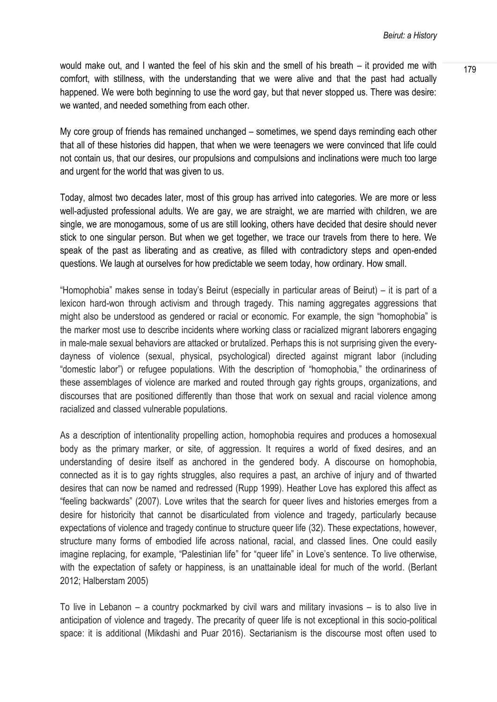would make out, and I wanted the feel of his skin and the smell of his breath – it provided me with  $\frac{179}{179}$ comfort, with stillness, with the understanding that we were alive and that the past had actually happened. We were both beginning to use the word gay, but that never stopped us. There was desire: we wanted, and needed something from each other.

My core group of friends has remained unchanged – sometimes, we spend days reminding each other that all of these histories did happen, that when we were teenagers we were convinced that life could not contain us, that our desires, our propulsions and compulsions and inclinations were much too large and urgent for the world that was given to us.

Today, almost two decades later, most of this group has arrived into categories. We are more or less well-adjusted professional adults. We are gay, we are straight, we are married with children, we are single, we are monogamous, some of us are still looking, others have decided that desire should never stick to one singular person. But when we get together, we trace our travels from there to here. We speak of the past as liberating and as creative, as filled with contradictory steps and open-ended questions. We laugh at ourselves for how predictable we seem today, how ordinary. How small.

"Homophobia" makes sense in today's Beirut (especially in particular areas of Beirut) – it is part of a lexicon hard-won through activism and through tragedy. This naming aggregates aggressions that might also be understood as gendered or racial or economic. For example, the sign "homophobia" is the marker most use to describe incidents where working class or racialized migrant laborers engaging in male-male sexual behaviors are attacked or brutalized. Perhaps this is not surprising given the everydayness of violence (sexual, physical, psychological) directed against migrant labor (including "domestic labor") or refugee populations. With the description of "homophobia," the ordinariness of these assemblages of violence are marked and routed through gay rights groups, organizations, and discourses that are positioned differently than those that work on sexual and racial violence among racialized and classed vulnerable populations.

As a description of intentionality propelling action, homophobia requires and produces a homosexual body as the primary marker, or site, of aggression. It requires a world of fixed desires, and an understanding of desire itself as anchored in the gendered body. A discourse on homophobia, connected as it is to gay rights struggles, also requires a past, an archive of injury and of thwarted desires that can now be named and redressed (Rupp 1999). Heather Love has explored this affect as "feeling backwards" (2007). Love writes that the search for queer lives and histories emerges from a desire for historicity that cannot be disarticulated from violence and tragedy, particularly because expectations of violence and tragedy continue to structure queer life (32). These expectations, however, structure many forms of embodied life across national, racial, and classed lines. One could easily imagine replacing, for example, "Palestinian life" for "queer life" in Love's sentence. To live otherwise, with the expectation of safety or happiness, is an unattainable ideal for much of the world. (Berlant 2012; Halberstam 2005)

To live in Lebanon – a country pockmarked by civil wars and military invasions – is to also live in anticipation of violence and tragedy. The precarity of queer life is not exceptional in this socio-political space: it is additional (Mikdashi and Puar 2016). Sectarianism is the discourse most often used to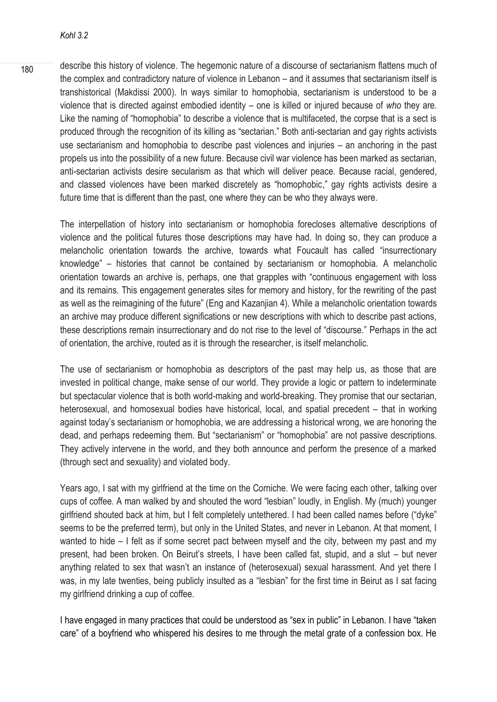180 describe this history of violence. The hegemonic nature of a discourse of sectarianism flattens much of the complex and contradictory nature of violence in Lebanon – and it assumes that sectarianism itself is transhistorical (Makdissi 2000). In ways similar to homophobia, sectarianism is understood to be a violence that is directed against embodied identity – one is killed or injured because of *who* they are. Like the naming of "homophobia" to describe a violence that is multifaceted, the corpse that is a sect is produced through the recognition of its killing as "sectarian." Both anti-sectarian and gay rights activists use sectarianism and homophobia to describe past violences and injuries – an anchoring in the past propels us into the possibility of a new future. Because civil war violence has been marked as sectarian, anti-sectarian activists desire secularism as that which will deliver peace. Because racial, gendered, and classed violences have been marked discretely as "homophobic," gay rights activists desire a future time that is different than the past, one where they can be who they always were.

The interpellation of history into sectarianism or homophobia forecloses alternative descriptions of violence and the political futures those descriptions may have had. In doing so, they can produce a melancholic orientation towards the archive, towards what Foucault has called "insurrectionary knowledge" – histories that cannot be contained by sectarianism or homophobia. A melancholic orientation towards an archive is, perhaps, one that grapples with "continuous engagement with loss and its remains. This engagement generates sites for memory and history, for the rewriting of the past as well as the reimagining of the future" (Eng and Kazanjian 4). While a melancholic orientation towards an archive may produce different significations or new descriptions with which to describe past actions, these descriptions remain insurrectionary and do not rise to the level of "discourse." Perhaps in the act of orientation, the archive, routed as it is through the researcher, is itself melancholic.

The use of sectarianism or homophobia as descriptors of the past may help us, as those that are invested in political change, make sense of our world. They provide a logic or pattern to indeterminate but spectacular violence that is both world-making and world-breaking. They promise that our sectarian, heterosexual, and homosexual bodies have historical, local, and spatial precedent – that in working against today's sectarianism or homophobia, we are addressing a historical wrong, we are honoring the dead, and perhaps redeeming them. But "sectarianism" or "homophobia" are not passive descriptions. They actively intervene in the world, and they both announce and perform the presence of a marked (through sect and sexuality) and violated body.

Years ago, I sat with my girlfriend at the time on the Corniche. We were facing each other, talking over cups of coffee. A man walked by and shouted the word "lesbian" loudly, in English. My (much) younger girlfriend shouted back at him, but I felt completely untethered. I had been called names before ("dyke" seems to be the preferred term), but only in the United States, and never in Lebanon. At that moment, I wanted to hide – I felt as if some secret pact between myself and the city, between my past and my present, had been broken. On Beirut's streets, I have been called fat, stupid, and a slut – but never anything related to sex that wasn't an instance of (heterosexual) sexual harassment. And yet there I was, in my late twenties, being publicly insulted as a "lesbian" for the first time in Beirut as I sat facing my girlfriend drinking a cup of coffee.

I have engaged in many practices that could be understood as "sex in public" in Lebanon. I have "taken care" of a boyfriend who whispered his desires to me through the metal grate of a confession box. He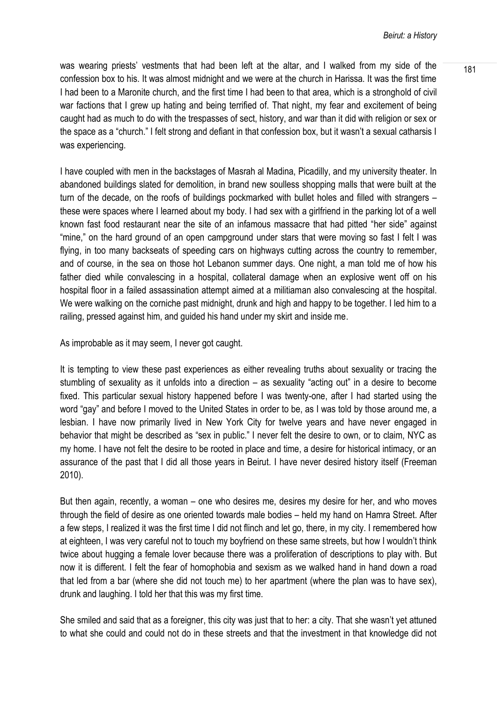was wearing priests' vestments that had been left at the altar, and I walked from my side of the  $\frac{181}{181}$ confession box to his. It was almost midnight and we were at the church in Harissa. It was the first time I had been to a Maronite church, and the first time I had been to that area, which is a stronghold of civil war factions that I grew up hating and being terrified of. That night, my fear and excitement of being caught had as much to do with the trespasses of sect, history, and war than it did with religion or sex or the space as a "church." I felt strong and defiant in that confession box, but it wasn't a sexual catharsis I was experiencing.

I have coupled with men in the backstages of Masrah al Madina, Picadilly, and my university theater. In abandoned buildings slated for demolition, in brand new soulless shopping malls that were built at the turn of the decade, on the roofs of buildings pockmarked with bullet holes and filled with strangers – these were spaces where I learned about my body. I had sex with a girlfriend in the parking lot of a well known fast food restaurant near the site of an infamous massacre that had pitted "her side" against "mine," on the hard ground of an open campground under stars that were moving so fast I felt I was flying, in too many backseats of speeding cars on highways cutting across the country to remember, and of course, in the sea on those hot Lebanon summer days. One night, a man told me of how his father died while convalescing in a hospital, collateral damage when an explosive went off on his hospital floor in a failed assassination attempt aimed at a militiaman also convalescing at the hospital. We were walking on the corniche past midnight, drunk and high and happy to be together. I led him to a railing, pressed against him, and guided his hand under my skirt and inside me.

As improbable as it may seem, I never got caught.

It is tempting to view these past experiences as either revealing truths about sexuality or tracing the stumbling of sexuality as it unfolds into a direction – as sexuality "acting out" in a desire to become fixed. This particular sexual history happened before I was twenty-one, after I had started using the word "gay" and before I moved to the United States in order to be, as I was told by those around me, a lesbian. I have now primarily lived in New York City for twelve years and have never engaged in behavior that might be described as "sex in public." I never felt the desire to own, or to claim, NYC as my home. I have not felt the desire to be rooted in place and time, a desire for historical intimacy, or an assurance of the past that I did all those years in Beirut. I have never desired history itself (Freeman 2010).

But then again, recently, a woman – one who desires me, desires my desire for her, and who moves through the field of desire as one oriented towards male bodies – held my hand on Hamra Street. After a few steps, I realized it was the first time I did not flinch and let go, there, in my city. I remembered how at eighteen, I was very careful not to touch my boyfriend on these same streets, but how I wouldn't think twice about hugging a female lover because there was a proliferation of descriptions to play with. But now it is different. I felt the fear of homophobia and sexism as we walked hand in hand down a road that led from a bar (where she did not touch me) to her apartment (where the plan was to have sex), drunk and laughing. I told her that this was my first time.

She smiled and said that as a foreigner, this city was just that to her: a city. That she wasn't yet attuned to what she could and could not do in these streets and that the investment in that knowledge did not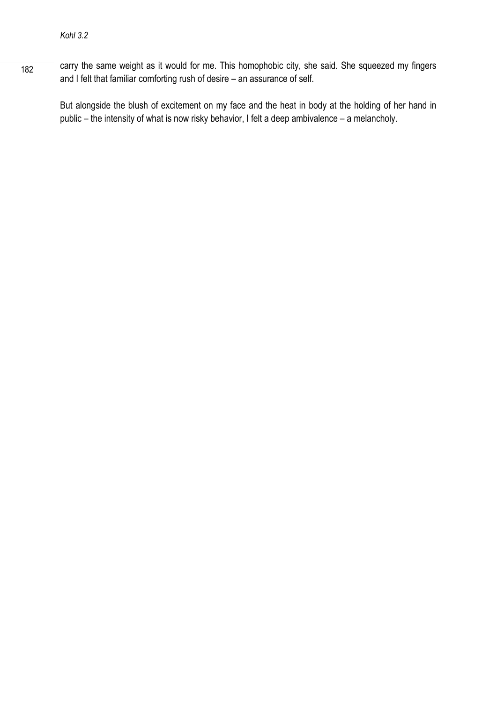182 carry the same weight as it would for me. This homophobic city, she said. She squeezed my fingers and I felt that familiar comforting rush of desire – an assurance of self.

But alongside the blush of excitement on my face and the heat in body at the holding of her hand in public – the intensity of what is now risky behavior, I felt a deep ambivalence – a melancholy.